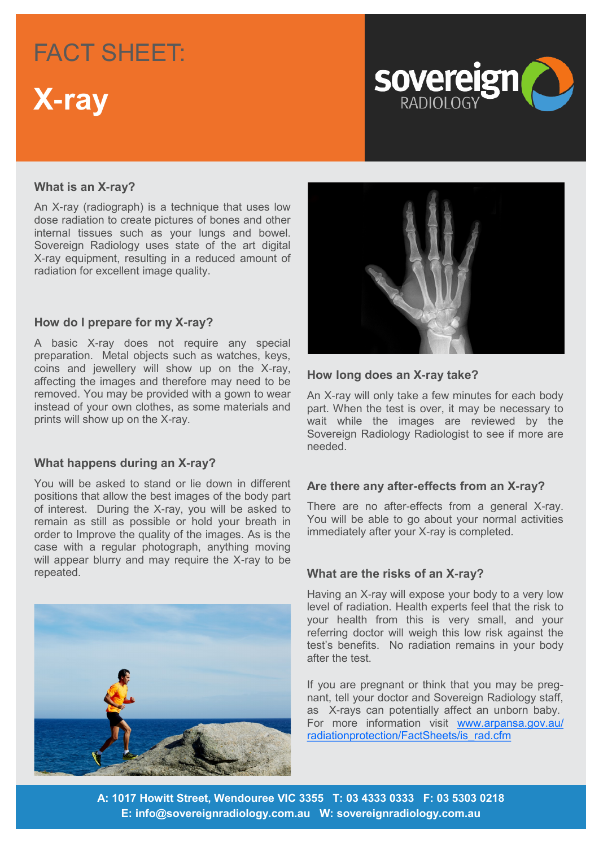## FACT SHEET: FACT SHEET:

### **Headline to go here X-ray**



#### **What is an X-ray?**

An X-ray (radiograph) is a technique that uses low dose radiation to create pictures of bones and other internal tissues such as your lungs and bowel. Sovereign Radiology uses state of the art digital X-ray equipment, resulting in a reduced amount of radiation for excellent image quality.

#### **How do I prepare for my X-ray?**

A basic X-ray does not require any special preparation. Metal objects such as watches, keys, coins and jewellery will show up on the X-ray, affecting the images and therefore may need to be removed. You may be provided with a gown to wear instead of your own clothes, as some materials and prints will show up on the X-ray.

#### **What happens during an X-ray?**

You will be asked to stand or lie down in different positions that allow the best images of the body part of interest. During the X-ray, you will be asked to remain as still as possible or hold your breath in order to Improve the quality of the images. As is the case with a regular photograph, anything moving will appear blurry and may require the X-ray to be repeated.





#### **How long does an X-ray take?**

An X-ray will only take a few minutes for each body part. When the test is over, it may be necessary to wait while the images are reviewed by the Sovereign Radiology Radiologist to see if more are needed.

#### **Are there any after-effects from an X-ray?**

There are no after-effects from a general X-ray. You will be able to go about your normal activities immediately after your X-ray is completed.

#### **What are the risks of an X-ray?**

Having an X-ray will expose your body to a very low level of radiation. Health experts feel that the risk to your health from this is very small, and your referring doctor will weigh this low risk against the test's benefits. No radiation remains in your body after the test.

If you are pregnant or think that you may be pregnant, tell your doctor and Sovereign Radiology staff, as X-rays can potentially affect an unborn baby. For more information visit [www.arpansa.gov.au/](http://www.arpansa.gov.au/radiationprotection/FactSheets/is_rad.cfm) [radiationprotection/FactSheets/is\\_rad.cfm](http://www.arpansa.gov.au/radiationprotection/FactSheets/is_rad.cfm)

**A: 1017 Howitt Street, Wendouree VIC 3355 T: 03 4333 0333 F: 03 5303 0218 E: info@sovereignradiology.com.au W: sovereignradiology.com.au**